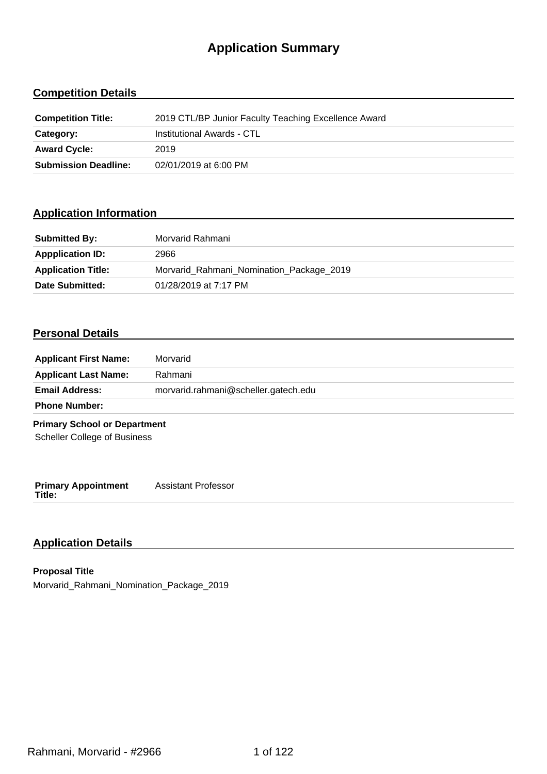# **Application Summary**

## **Competition Details**

| <b>Competition Title:</b>   | 2019 CTL/BP Junior Faculty Teaching Excellence Award |
|-----------------------------|------------------------------------------------------|
| Category:                   | Institutional Awards - CTL                           |
| <b>Award Cycle:</b>         | 2019                                                 |
| <b>Submission Deadline:</b> | 02/01/2019 at 6:00 PM                                |

## **Application Information**

| <b>Submitted By:</b>      | Morvarid Rahmani                         |
|---------------------------|------------------------------------------|
| <b>Appplication ID:</b>   | 2966                                     |
| <b>Application Title:</b> | Morvarid_Rahmani_Nomination_Package_2019 |
| Date Submitted:           | 01/28/2019 at 7:17 PM                    |

## **Personal Details**

| <b>Applicant First Name:</b>         | Morvarid                             |
|--------------------------------------|--------------------------------------|
| <b>Applicant Last Name:</b>          | Rahmani                              |
| <b>Email Address:</b>                | morvarid.rahmani@scheller.gatech.edu |
| <b>Phone Number:</b>                 |                                      |
| <b>Primary School or Department</b>  |                                      |
| <b>Scheller College of Business</b>  |                                      |
|                                      |                                      |
|                                      |                                      |
| <b>Primary Appointment</b><br>Title: | <b>Assistant Professor</b>           |

## **Application Details**

**Proposal Title** Morvarid\_Rahmani\_Nomination\_Package\_2019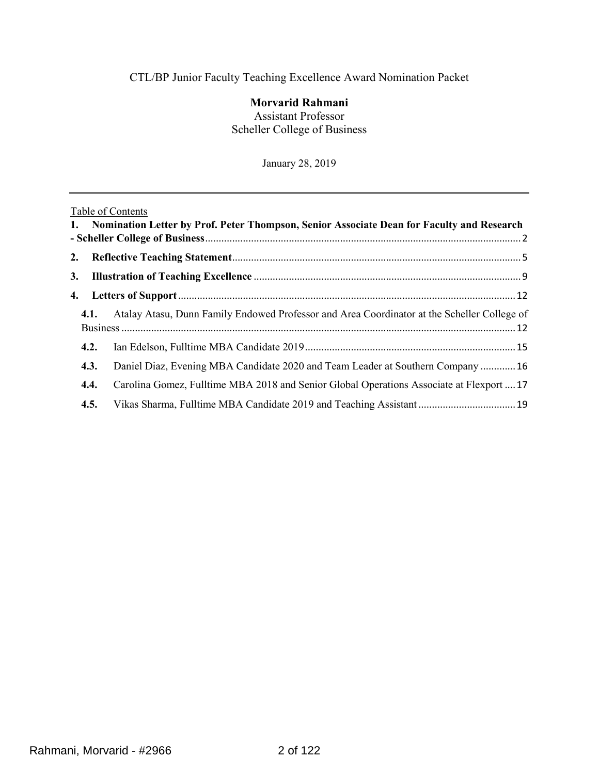## CTL/BP Junior Faculty Teaching Excellence Award Nomination Packet

## **Morvarid Rahmani**

Assistant Professor Scheller College of Business

January 28, 2019

## Table of Contents

|      | 1. Nomination Letter by Prof. Peter Thompson, Senior Associate Dean for Faculty and Research |  |
|------|----------------------------------------------------------------------------------------------|--|
|      |                                                                                              |  |
|      |                                                                                              |  |
|      |                                                                                              |  |
| 4.1. | Atalay Atasu, Dunn Family Endowed Professor and Area Coordinator at the Scheller College of  |  |
| 4.2. |                                                                                              |  |
| 4.3. | Daniel Diaz, Evening MBA Candidate 2020 and Team Leader at Southern Company  16              |  |
| 4.4. | Carolina Gomez, Fulltime MBA 2018 and Senior Global Operations Associate at Flexport  17     |  |
| 4.5. |                                                                                              |  |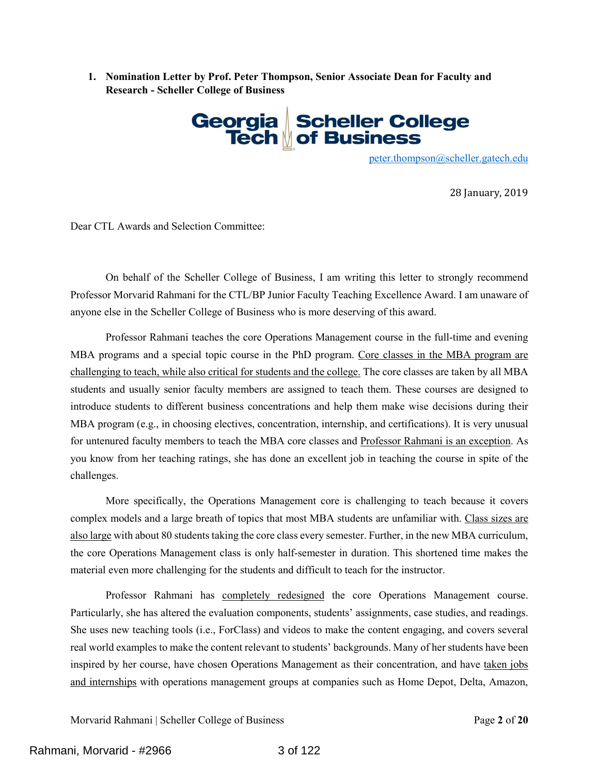<span id="page-2-0"></span>**1. Nomination Letter by Prof. Peter Thompson, Senior Associate Dean for Faculty and Research - Scheller College of Business**



peter.thompson@scheller.gatech.edu

28 January, 2019

Dear CTL Awards and Selection Committee:

On behalf of the Scheller College of Business, I am writing this letter to strongly recommend Professor Morvarid Rahmani for the CTL/BP Junior Faculty Teaching Excellence Award. I am unaware of anyone else in the Scheller College of Business who is more deserving of this award.

Professor Rahmani teaches the core Operations Management course in the full-time and evening MBA programs and a special topic course in the PhD program. Core classes in the MBA program are challenging to teach, while also critical for students and the college. The core classes are taken by all MBA students and usually senior faculty members are assigned to teach them. These courses are designed to introduce students to different business concentrations and help them make wise decisions during their MBA program (e.g., in choosing electives, concentration, internship, and certifications). It is very unusual for untenured faculty members to teach the MBA core classes and Professor Rahmani is an exception. As you know from her teaching ratings, she has done an excellent job in teaching the course in spite of the challenges.

More specifically, the Operations Management core is challenging to teach because it covers complex models and a large breath of topics that most MBA students are unfamiliar with. Class sizes are also large with about 80 students taking the core class every semester. Further, in the new MBA curriculum, the core Operations Management class is only half-semester in duration. This shortened time makes the material even more challenging for the students and difficult to teach for the instructor.

Professor Rahmani has completely redesigned the core Operations Management course. Particularly, she has altered the evaluation components, students' assignments, case studies, and readings. She uses new teaching tools (i.e., ForClass) and videos to make the content engaging, and covers several real world examples to make the content relevant to students' backgrounds. Many of her students have been inspired by her course, have chosen Operations Management as their concentration, and have taken jobs and internships with operations management groups at companies such as Home Depot, Delta, Amazon,

Morvarid Rahmani | Scheller College of Business Page **2** of **20**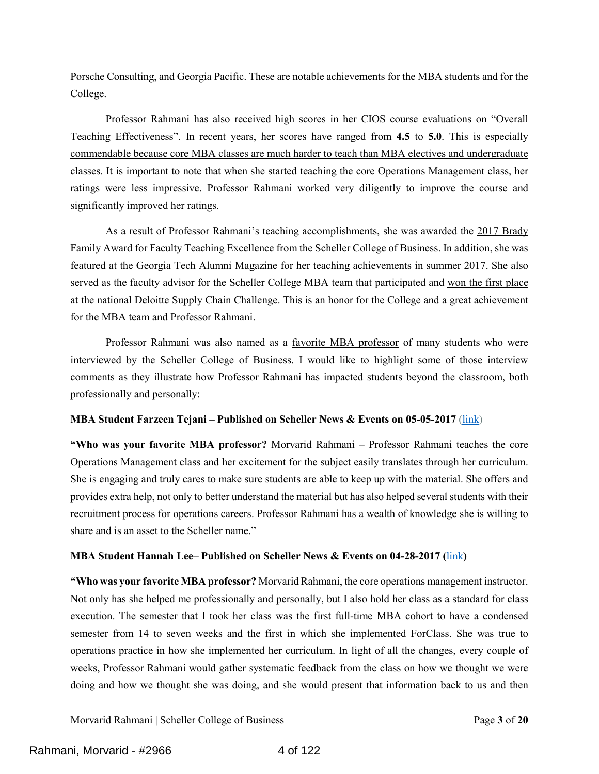Porsche Consulting, and Georgia Pacific. These are notable achievements for the MBA students and for the College.

Professor Rahmani has also received high scores in her CIOS course evaluations on "Overall Teaching Effectiveness". In recent years, her scores have ranged from **4.5** to **5.0**. This is especially commendable because core MBA classes are much harder to teach than MBA electives and undergraduate classes. It is important to note that when she started teaching the core Operations Management class, her ratings were less impressive. Professor Rahmani worked very diligently to improve the course and significantly improved her ratings.

As a result of Professor Rahmani's teaching accomplishments, she was awarded the 2017 Brady Family Award for Faculty Teaching Excellence from the Scheller College of Business. In addition, she was featured at the Georgia Tech Alumni Magazine for her teaching achievements in summer 2017. She also served as the faculty advisor for the Scheller College MBA team that participated and won the first place at the national Deloitte Supply Chain Challenge. This is an honor for the College and a great achievement for the MBA team and Professor Rahmani.

Professor Rahmani was also named as a favorite MBA professor of many students who were interviewed by the Scheller College of Business. I would like to highlight some of those interview comments as they illustrate how Professor Rahmani has impacted students beyond the classroom, both professionally and personally:

### **MBA Student Farzeen Tejani – Published on Scheller News & Events on 05-05-2017** [\(link\)](https://www.scheller.gatech.edu/news-events/latest-news/2017/articles/countdown-to-commencement-tejani-farzeen.html)

**"Who was your favorite MBA professor?** Morvarid Rahmani – Professor Rahmani teaches the core Operations Management class and her excitement for the subject easily translates through her curriculum. She is engaging and truly cares to make sure students are able to keep up with the material. She offers and provides extra help, not only to better understand the material but has also helped several students with their recruitment process for operations careers. Professor Rahmani has a wealth of knowledge she is willing to share and is an asset to the Scheller name."

### **MBA Student Hannah Lee– Published on Scheller News & Events on 04-28-2017 (**[link](https://www.scheller.gatech.edu/news-events/latest-news/2017/articles/countdown-to-commencement-lee-hannah.html)**)**

**"Who was your favorite MBA professor?** Morvarid Rahmani, the core operations management instructor. Not only has she helped me professionally and personally, but I also hold her class as a standard for class execution. The semester that I took her class was the first full-time MBA cohort to have a condensed semester from 14 to seven weeks and the first in which she implemented ForClass. She was true to operations practice in how she implemented her curriculum. In light of all the changes, every couple of weeks, Professor Rahmani would gather systematic feedback from the class on how we thought we were doing and how we thought she was doing, and she would present that information back to us and then

Morvarid Rahmani | Scheller College of Business Page **3** of **20**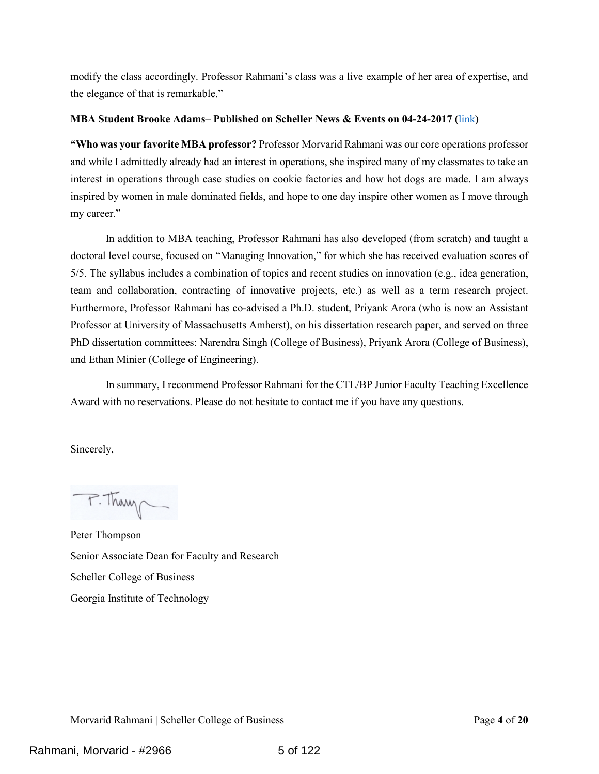modify the class accordingly. Professor Rahmani's class was a live example of her area of expertise, and the elegance of that is remarkable."

### **MBA Student Brooke Adams– Published on Scheller News & Events on 04-24-2017 (**[link](https://www.scheller.gatech.edu/news-events/latest-news/2017/articles/countdown-to-commencement-brooke-adams.html)**)**

**"Who was your favorite MBA professor?** Professor Morvarid Rahmani was our core operations professor and while I admittedly already had an interest in operations, she inspired many of my classmates to take an interest in operations through case studies on cookie factories and how hot dogs are made. I am always inspired by women in male dominated fields, and hope to one day inspire other women as I move through my career."

In addition to MBA teaching, Professor Rahmani has also developed (from scratch) and taught a doctoral level course, focused on "Managing Innovation," for which she has received evaluation scores of 5/5. The syllabus includes a combination of topics and recent studies on innovation (e.g., idea generation, team and collaboration, contracting of innovative projects, etc.) as well as a term research project. Furthermore, Professor Rahmani has co-advised a Ph.D. student, Priyank Arora (who is now an Assistant Professor at University of Massachusetts Amherst), on his dissertation research paper, and served on three PhD dissertation committees: Narendra Singh (College of Business), Priyank Arora (College of Business), and Ethan Minier (College of Engineering).

In summary, I recommend Professor Rahmani for the CTL/BP Junior Faculty Teaching Excellence Award with no reservations. Please do not hesitate to contact me if you have any questions.

Sincerely,

P. Thany

Peter Thompson Senior Associate Dean for Faculty and Research Scheller College of Business Georgia Institute of Technology

Morvarid Rahmani | Scheller College of Business Page **4** of **20**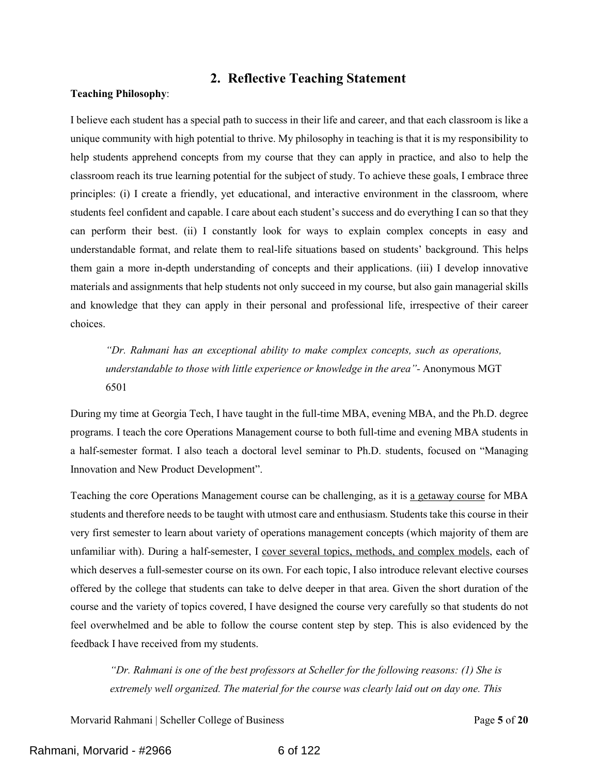## **2. Reflective Teaching Statement**

#### <span id="page-5-0"></span>**Teaching Philosophy**:

I believe each student has a special path to success in their life and career, and that each classroom is like a unique community with high potential to thrive. My philosophy in teaching is that it is my responsibility to help students apprehend concepts from my course that they can apply in practice, and also to help the classroom reach its true learning potential for the subject of study. To achieve these goals, I embrace three principles: (i) I create a friendly, yet educational, and interactive environment in the classroom, where students feel confident and capable. I care about each student's success and do everything I can so that they can perform their best. (ii) I constantly look for ways to explain complex concepts in easy and understandable format, and relate them to real-life situations based on students' background. This helps them gain a more in-depth understanding of concepts and their applications. (iii) I develop innovative materials and assignments that help students not only succeed in my course, but also gain managerial skills and knowledge that they can apply in their personal and professional life, irrespective of their career choices.

*"Dr. Rahmani has an exceptional ability to make complex concepts, such as operations, understandable to those with little experience or knowledge in the area"-* Anonymous MGT 6501

During my time at Georgia Tech, I have taught in the full-time MBA, evening MBA, and the Ph.D. degree programs. I teach the core Operations Management course to both full-time and evening MBA students in a half-semester format. I also teach a doctoral level seminar to Ph.D. students, focused on "Managing Innovation and New Product Development".

Teaching the core Operations Management course can be challenging, as it is a getaway course for MBA students and therefore needs to be taught with utmost care and enthusiasm. Students take this course in their very first semester to learn about variety of operations management concepts (which majority of them are unfamiliar with). During a half-semester, I cover several topics, methods, and complex models, each of which deserves a full-semester course on its own. For each topic, I also introduce relevant elective courses offered by the college that students can take to delve deeper in that area. Given the short duration of the course and the variety of topics covered, I have designed the course very carefully so that students do not feel overwhelmed and be able to follow the course content step by step. This is also evidenced by the feedback I have received from my students.

*"Dr. Rahmani is one of the best professors at Scheller for the following reasons: (1) She is extremely well organized. The material for the course was clearly laid out on day one. This* 

Morvarid Rahmani | Scheller College of Business Page **5** of **20**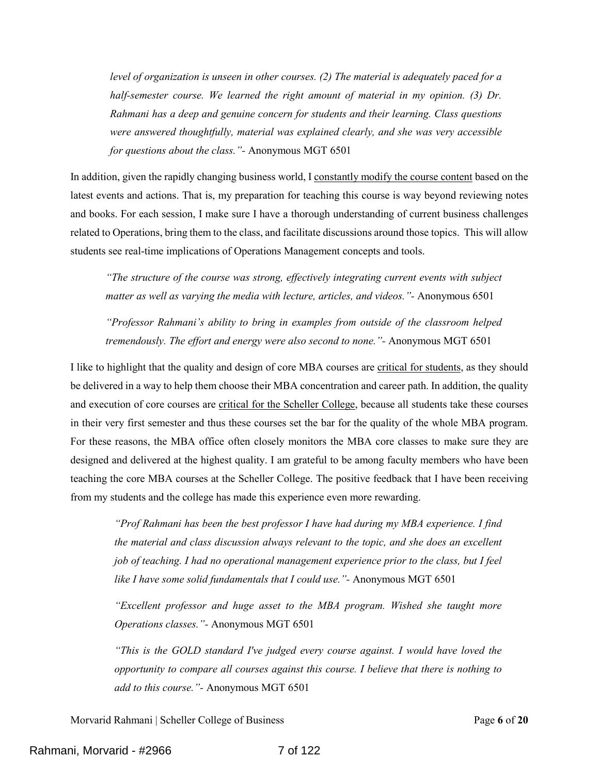*level of organization is unseen in other courses. (2) The material is adequately paced for a half-semester course. We learned the right amount of material in my opinion. (3) Dr. Rahmani has a deep and genuine concern for students and their learning. Class questions were answered thoughtfully, material was explained clearly, and she was very accessible for questions about the class."-* Anonymous MGT 6501

In addition, given the rapidly changing business world, I constantly modify the course content based on the latest events and actions. That is, my preparation for teaching this course is way beyond reviewing notes and books. For each session, I make sure I have a thorough understanding of current business challenges related to Operations, bring them to the class, and facilitate discussions around those topics. This will allow students see real-time implications of Operations Management concepts and tools.

*"The structure of the course was strong, effectively integrating current events with subject matter as well as varying the media with lecture, articles, and videos."-* Anonymous 6501

*"Professor Rahmani's ability to bring in examples from outside of the classroom helped tremendously. The effort and energy were also second to none."-* Anonymous MGT 6501

I like to highlight that the quality and design of core MBA courses are critical for students, as they should be delivered in a way to help them choose their MBA concentration and career path. In addition, the quality and execution of core courses are critical for the Scheller College, because all students take these courses in their very first semester and thus these courses set the bar for the quality of the whole MBA program. For these reasons, the MBA office often closely monitors the MBA core classes to make sure they are designed and delivered at the highest quality. I am grateful to be among faculty members who have been teaching the core MBA courses at the Scheller College. The positive feedback that I have been receiving from my students and the college has made this experience even more rewarding.

*"Prof Rahmani has been the best professor I have had during my MBA experience. I find the material and class discussion always relevant to the topic, and she does an excellent job of teaching. I had no operational management experience prior to the class, but I feel like I have some solid fundamentals that I could use."-* Anonymous MGT 6501

*"Excellent professor and huge asset to the MBA program. Wished she taught more Operations classes."-* Anonymous MGT 6501

*"This is the GOLD standard I've judged every course against. I would have loved the opportunity to compare all courses against this course. I believe that there is nothing to add to this course."-* Anonymous MGT 6501

Morvarid Rahmani | Scheller College of Business Page **6** of **20**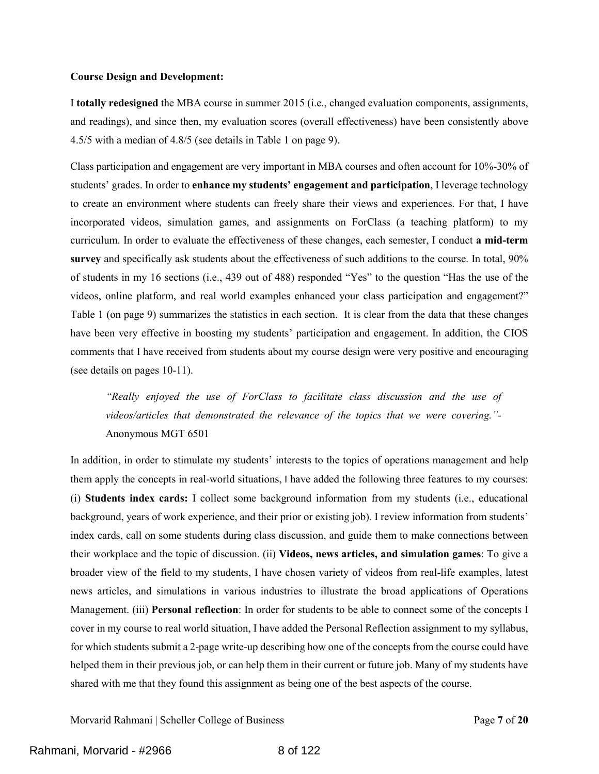#### **Course Design and Development:**

I **totally redesigned** the MBA course in summer 2015 (i.e., changed evaluation components, assignments, and readings), and since then, my evaluation scores (overall effectiveness) have been consistently above 4.5/5 with a median of 4.8/5 (see details in Table 1 on page 9).

Class participation and engagement are very important in MBA courses and often account for 10%-30% of students' grades. In order to **enhance my students' engagement and participation**, I leverage technology to create an environment where students can freely share their views and experiences. For that, I have incorporated videos, simulation games, and assignments on ForClass (a teaching platform) to my curriculum. In order to evaluate the effectiveness of these changes, each semester, I conduct **a mid-term survey** and specifically ask students about the effectiveness of such additions to the course. In total, 90% of students in my 16 sections (i.e., 439 out of 488) responded "Yes" to the question "Has the use of the videos, online platform, and real world examples enhanced your class participation and engagement?" Table 1 (on page 9) summarizes the statistics in each section. It is clear from the data that these changes have been very effective in boosting my students' participation and engagement. In addition, the CIOS comments that I have received from students about my course design were very positive and encouraging (see details on pages 10-11).

*"Really enjoyed the use of ForClass to facilitate class discussion and the use of videos/articles that demonstrated the relevance of the topics that we were covering."-* Anonymous MGT 6501

In addition, in order to stimulate my students' interests to the topics of operations management and help them apply the concepts in real-world situations, I have added the following three features to my courses: (i) **Students index cards:** I collect some background information from my students (i.e., educational background, years of work experience, and their prior or existing job). I review information from students' index cards, call on some students during class discussion, and guide them to make connections between their workplace and the topic of discussion. (ii) **Videos, news articles, and simulation games**: To give a broader view of the field to my students, I have chosen variety of videos from real-life examples, latest news articles, and simulations in various industries to illustrate the broad applications of Operations Management. (iii) **Personal reflection**: In order for students to be able to connect some of the concepts I cover in my course to real world situation, I have added the Personal Reflection assignment to my syllabus, for which students submit a 2-page write-up describing how one of the concepts from the course could have helped them in their previous job, or can help them in their current or future job. Many of my students have shared with me that they found this assignment as being one of the best aspects of the course.

Morvarid Rahmani | Scheller College of Business Page **7** of **20**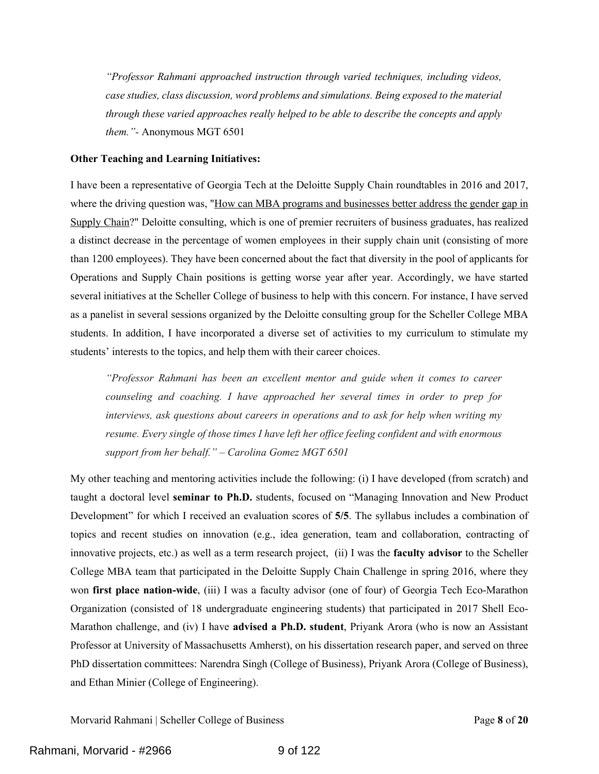*"Professor Rahmani approached instruction through varied techniques, including videos, case studies, class discussion, word problems and simulations. Being exposed to the material through these varied approaches really helped to be able to describe the concepts and apply them."-* Anonymous MGT 6501

#### **Other Teaching and Learning Initiatives:**

I have been a representative of Georgia Tech at the Deloitte Supply Chain roundtables in 2016 and 2017, where the driving question was, "How can MBA programs and businesses better address the gender gap in Supply Chain?" Deloitte consulting, which is one of premier recruiters of business graduates, has realized a distinct decrease in the percentage of women employees in their supply chain unit (consisting of more than 1200 employees). They have been concerned about the fact that diversity in the pool of applicants for Operations and Supply Chain positions is getting worse year after year. Accordingly, we have started several initiatives at the Scheller College of business to help with this concern. For instance, I have served as a panelist in several sessions organized by the Deloitte consulting group for the Scheller College MBA students. In addition, I have incorporated a diverse set of activities to my curriculum to stimulate my students' interests to the topics, and help them with their career choices.

*"Professor Rahmani has been an excellent mentor and guide when it comes to career counseling and coaching. I have approached her several times in order to prep for interviews, ask questions about careers in operations and to ask for help when writing my resume. Every single of those times I have left her office feeling confident and with enormous support from her behalf." – Carolina Gomez MGT 6501*

My other teaching and mentoring activities include the following: (i) I have developed (from scratch) and taught a doctoral level **seminar to Ph.D.** students, focused on "Managing Innovation and New Product Development" for which I received an evaluation scores of **5/5**. The syllabus includes a combination of topics and recent studies on innovation (e.g., idea generation, team and collaboration, contracting of innovative projects, etc.) as well as a term research project, (ii) I was the **faculty advisor** to the Scheller College MBA team that participated in the Deloitte Supply Chain Challenge in spring 2016, where they won **first place nation-wide**, (iii) I was a faculty advisor (one of four) of Georgia Tech Eco-Marathon Organization (consisted of 18 undergraduate engineering students) that participated in 2017 Shell Eco-Marathon challenge, and (iv) I have **advised a Ph.D. student**, Priyank Arora (who is now an Assistant Professor at University of Massachusetts Amherst), on his dissertation research paper, and served on three PhD dissertation committees: Narendra Singh (College of Business), Priyank Arora (College of Business), and Ethan Minier (College of Engineering).

Morvarid Rahmani | Scheller College of Business Page **8** of **20**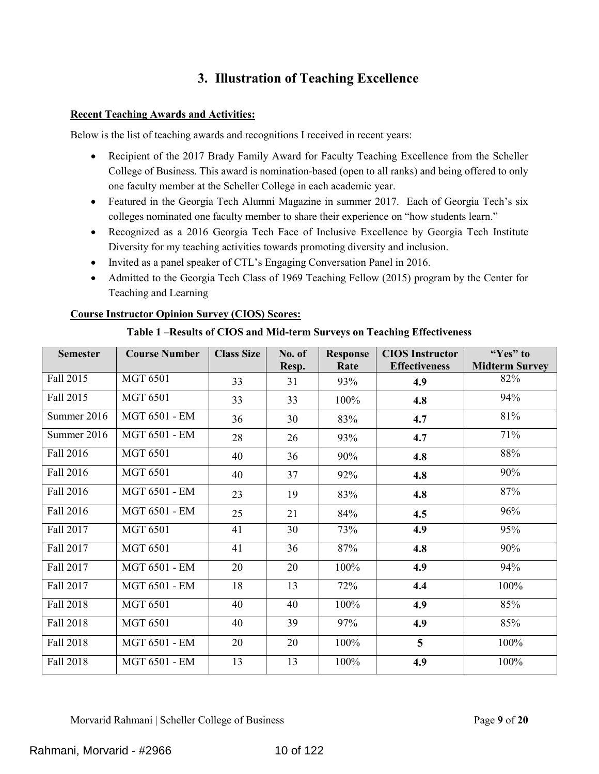## **3. Illustration of Teaching Excellence**

## <span id="page-9-0"></span>**Recent Teaching Awards and Activities:**

Below is the list of teaching awards and recognitions I received in recent years:

- Recipient of the 2017 Brady Family Award for Faculty Teaching Excellence from the Scheller College of Business. This award is nomination-based (open to all ranks) and being offered to only one faculty member at the Scheller College in each academic year.
- Featured in the Georgia Tech Alumni Magazine in summer 2017. Each of Georgia Tech's six colleges nominated one faculty member to share their experience on "how students learn."
- Recognized as a 2016 Georgia Tech Face of Inclusive Excellence by Georgia Tech Institute Diversity for my teaching activities towards promoting diversity and inclusion.
- Invited as a panel speaker of CTL's Engaging Conversation Panel in 2016.
- Admitted to the Georgia Tech Class of 1969 Teaching Fellow (2015) program by the Center for Teaching and Learning

## **Course Instructor Opinion Survey (CIOS) Scores:**

| Table 1 - Results of CIOS and Mid-term Surveys on Teaching Effectiveness |  |  |
|--------------------------------------------------------------------------|--|--|
|--------------------------------------------------------------------------|--|--|

| <b>Semester</b> | <b>Course Number</b> | <b>Class Size</b> | No. of<br>Resp. | <b>Response</b><br>Rate | <b>CIOS Instructor</b><br><b>Effectiveness</b> | "Yes" to<br><b>Midterm Survey</b> |
|-----------------|----------------------|-------------------|-----------------|-------------------------|------------------------------------------------|-----------------------------------|
| Fall 2015       | <b>MGT 6501</b>      | 33                | 31              | 93%                     | 4.9                                            | 82%                               |
| Fall 2015       | <b>MGT 6501</b>      | 33                | 33              | 100%                    | 4.8                                            | 94%                               |
| Summer 2016     | <b>MGT 6501 - EM</b> | 36                | 30              | 83%                     | 4.7                                            | 81%                               |
| Summer 2016     | <b>MGT 6501 - EM</b> | 28                | 26              | 93%                     | 4.7                                            | 71%                               |
| Fall 2016       | <b>MGT 6501</b>      | 40                | 36              | 90%                     | 4.8                                            | 88%                               |
| Fall 2016       | <b>MGT 6501</b>      | 40                | 37              | 92%                     | 4.8                                            | 90%                               |
| Fall 2016       | <b>MGT 6501 - EM</b> | 23                | 19              | 83%                     | 4.8                                            | 87%                               |
| Fall 2016       | <b>MGT 6501 - EM</b> | 25                | 21              | 84%                     | 4.5                                            | 96%                               |
| Fall 2017       | <b>MGT 6501</b>      | 41                | 30              | 73%                     | 4.9                                            | 95%                               |
| Fall 2017       | <b>MGT 6501</b>      | 41                | 36              | 87%                     | 4.8                                            | 90%                               |
| Fall 2017       | <b>MGT 6501 - EM</b> | 20                | 20              | 100%                    | 4.9                                            | 94%                               |
| Fall 2017       | <b>MGT 6501 - EM</b> | 18                | 13              | 72%                     | 4.4                                            | 100%                              |
| Fall 2018       | <b>MGT 6501</b>      | 40                | 40              | 100%                    | 4.9                                            | 85%                               |
| Fall 2018       | <b>MGT 6501</b>      | 40                | 39              | 97%                     | 4.9                                            | 85%                               |
| Fall 2018       | <b>MGT 6501 - EM</b> | 20                | 20              | 100%                    | $\overline{5}$                                 | 100%                              |
| Fall 2018       | <b>MGT 6501 - EM</b> | 13                | 13              | 100%                    | 4.9                                            | 100%                              |

Morvarid Rahmani | Scheller College of Business Page **9** of **20**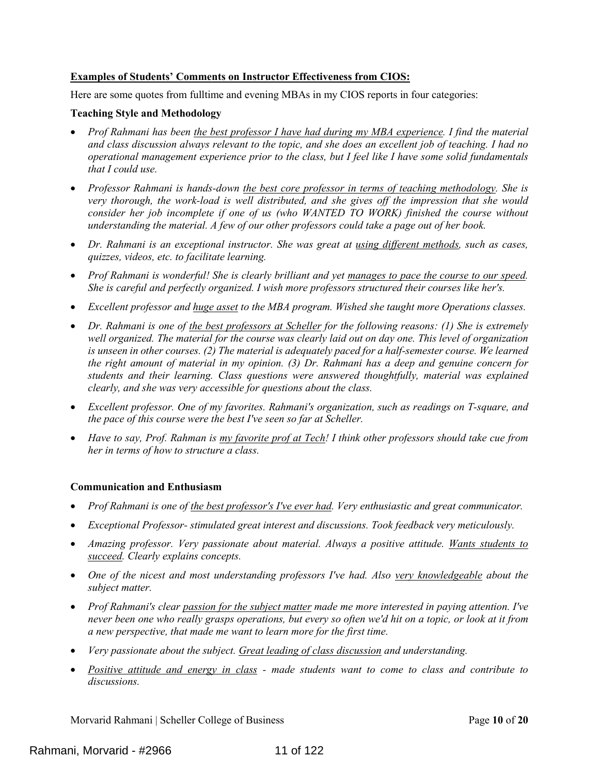## **Examples of Students' Comments on Instructor Effectiveness from CIOS:**

Here are some quotes from fulltime and evening MBAs in my CIOS reports in four categories:

### **Teaching Style and Methodology**

- *Prof Rahmani has been the best professor I have had during my MBA experience. I find the material and class discussion always relevant to the topic, and she does an excellent job of teaching. I had no operational management experience prior to the class, but I feel like I have some solid fundamentals that I could use.*
- *Professor Rahmani is hands-down the best core professor in terms of teaching methodology. She is very thorough, the work-load is well distributed, and she gives off the impression that she would*  consider her job incomplete if one of us (who WANTED TO WORK) finished the course without *understanding the material. A few of our other professors could take a page out of her book.*
- *Dr. Rahmani is an exceptional instructor. She was great at using different methods, such as cases, quizzes, videos, etc. to facilitate learning.*
- *Prof Rahmani is wonderful! She is clearly brilliant and yet manages to pace the course to our speed. She is careful and perfectly organized. I wish more professors structured their courses like her's.*
- *Excellent professor and huge asset to the MBA program. Wished she taught more Operations classes.*
- *Dr. Rahmani is one of the best professors at Scheller for the following reasons: (1) She is extremely well organized. The material for the course was clearly laid out on day one. This level of organization is unseen in other courses. (2) The material is adequately paced for a half-semester course. We learned the right amount of material in my opinion. (3) Dr. Rahmani has a deep and genuine concern for students and their learning. Class questions were answered thoughtfully, material was explained clearly, and she was very accessible for questions about the class.*
- *Excellent professor. One of my favorites. Rahmani's organization, such as readings on T-square, and the pace of this course were the best I've seen so far at Scheller.*
- *Have to say, Prof. Rahman is my favorite prof at Tech! I think other professors should take cue from her in terms of how to structure a class.*

### **Communication and Enthusiasm**

- *Prof Rahmani is one of the best professor's I've ever had. Very enthusiastic and great communicator.*
- *Exceptional Professor- stimulated great interest and discussions. Took feedback very meticulously.*
- *Amazing professor. Very passionate about material. Always a positive attitude. Wants students to succeed. Clearly explains concepts.*
- One of the nicest and most understanding professors I've had. Also very knowledgeable about the *subject matter.*
- *Prof Rahmani's clear passion for the subject matter made me more interested in paying attention. I've never been one who really grasps operations, but every so often we'd hit on a topic, or look at it from a new perspective, that made me want to learn more for the first time.*
- *Very passionate about the subject. Great leading of class discussion and understanding.*
- *Positive attitude and energy in class - made students want to come to class and contribute to discussions.*

Morvarid Rahmani | Scheller College of Business Page **10** of **20**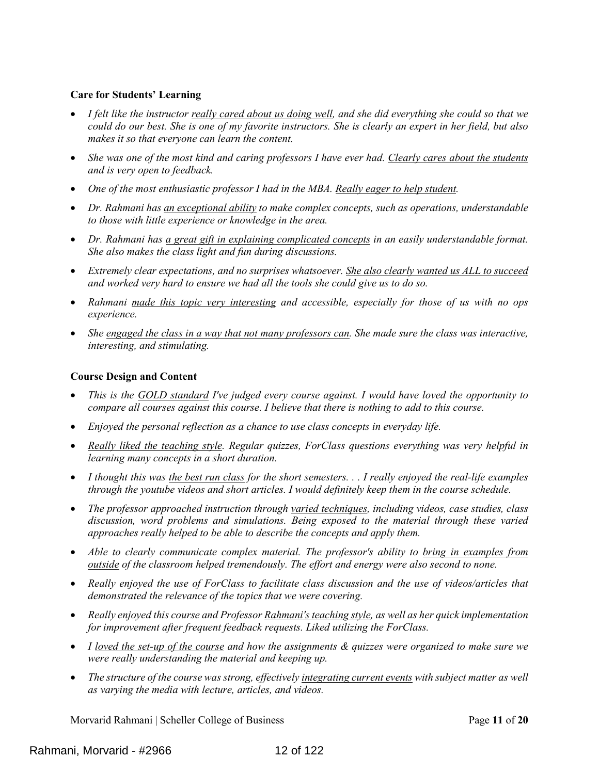### **Care for Students' Learning**

- *I felt like the instructor really cared about us doing well, and she did everything she could so that we could do our best. She is one of my favorite instructors. She is clearly an expert in her field, but also makes it so that everyone can learn the content.*
- *She was one of the most kind and caring professors I have ever had. Clearly cares about the students and is very open to feedback.*
- *One of the most enthusiastic professor I had in the MBA. Really eager to help student.*
- *Dr. Rahmani has an exceptional ability to make complex concepts, such as operations, understandable to those with little experience or knowledge in the area.*
- *Dr. Rahmani has a great gift in explaining complicated concepts in an easily understandable format. She also makes the class light and fun during discussions.*
- *Extremely clear expectations, and no surprises whatsoever. She also clearly wanted us ALL to succeed and worked very hard to ensure we had all the tools she could give us to do so.*
- *Rahmani made this topic very interesting and accessible, especially for those of us with no ops experience.*
- *She engaged the class in a way that not many professors can. She made sure the class was interactive, interesting, and stimulating.*

## **Course Design and Content**

- *This is the GOLD standard I've judged every course against. I would have loved the opportunity to compare all courses against this course. I believe that there is nothing to add to this course.*
- *Enjoyed the personal reflection as a chance to use class concepts in everyday life.*
- *Really liked the teaching style. Regular quizzes, ForClass questions everything was very helpful in learning many concepts in a short duration.*
- *I thought this was the best run class for the short semesters. . . I really enjoyed the real-life examples through the youtube videos and short articles. I would definitely keep them in the course schedule.*
- *The professor approached instruction through varied techniques, including videos, case studies, class*  discussion, word problems and simulations. Being exposed to the material through these varied *approaches really helped to be able to describe the concepts and apply them.*
- *Able to clearly communicate complex material. The professor's ability to bring in examples from outside of the classroom helped tremendously. The effort and energy were also second to none.*
- *Really enjoyed the use of ForClass to facilitate class discussion and the use of videos/articles that demonstrated the relevance of the topics that we were covering.*
- *Really enjoyed this course and Professor Rahmani's teaching style, as well as her quick implementation for improvement after frequent feedback requests. Liked utilizing the ForClass.*
- *I loved the set-up of the course and how the assignments & quizzes were organized to make sure we were really understanding the material and keeping up.*
- The structure of the course was strong, effectively *integrating current events* with subject matter as well *as varying the media with lecture, articles, and videos.*

Morvarid Rahmani | Scheller College of Business Page **11** of **20**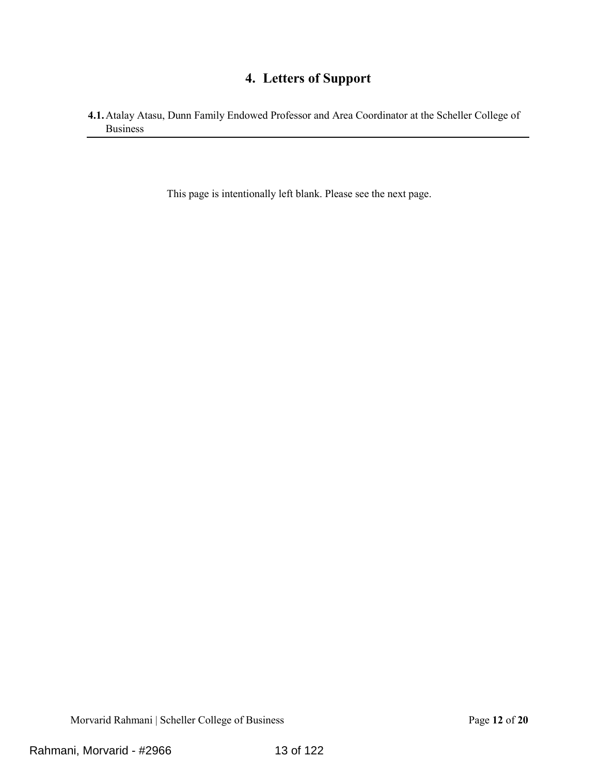# **4. Letters of Support**

<span id="page-12-1"></span><span id="page-12-0"></span>**4.1.**Atalay Atasu, Dunn Family Endowed Professor and Area Coordinator at the Scheller College of Business

This page is intentionally left blank. Please see the next page.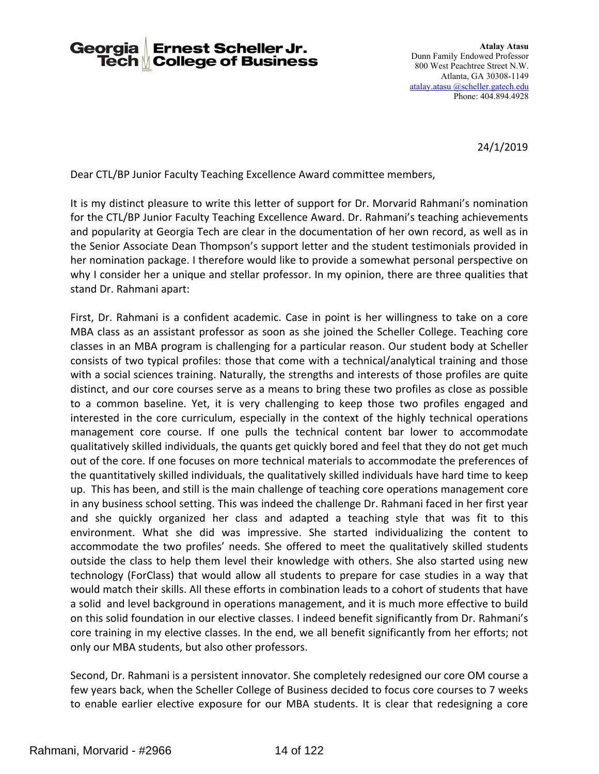#### **Georgia Ernest Scheller Jr. Tech** *N* College of Business

24/1/2019

Dear CTL/BP Junior Faculty Teaching Excellence Award committee members,

It is my distinct pleasure to write this letter of support for Dr. Morvarid Rahmani's nomination for the CTL/BP Junior Faculty Teaching Excellence Award. Dr. Rahmani's teaching achievements and popularity at Georgia Tech are clear in the documentation of her own record, as well as in the Senior Associate Dean Thompson's support letter and the student testimonials provided in her nomination package. I therefore would like to provide a somewhat personal perspective on why I consider her a unique and stellar professor. In my opinion, there are three qualities that stand Dr. Rahmani apart:

First, Dr. Rahmani is a confident academic. Case in point is her willingness to take on a core MBA class as an assistant professor as soon as she joined the Scheller College. Teaching core classes in an MBA program is challenging for a particular reason. Our student body at Scheller consists of two typical profiles: those that come with a technical/analytical training and those with a social sciences training. Naturally, the strengths and interests of those profiles are quite distinct, and our core courses serve as a means to bring these two profiles as close as possible to a common baseline. Yet, it is very challenging to keep those two profiles engaged and interested in the core curriculum, especially in the context of the highly technical operations management core course. If one pulls the technical content bar lower to accommodate qualitatively skilled individuals, the quants get quickly bored and feel that they do not get much out of the core. If one focuses on more technical materials to accommodate the preferences of the quantitatively skilled individuals, the qualitatively skilled individuals have hard time to keep up. This has been, and still is the main challenge of teaching core operations management core in any business school setting. This was indeed the challenge Dr. Rahmani faced in her first year and she quickly organized her class and adapted a teaching style that was fit to this environment. What she did was impressive. She started individualizing the content to accommodate the two profiles' needs. She offered to meet the qualitatively skilled students outside the class to help them level their knowledge with others. She also started using new technology (ForClass) that would allow all students to prepare for case studies in a way that would match their skills. All these efforts in combination leads to a cohort of students that have a solid and level background in operations management, and it is much more effective to build on this solid foundation in our elective classes. I indeed benefit significantly from Dr. Rahmani's core training in my elective classes. In the end, we all benefit significantly from her efforts; not only our MBA students, but also other professors.

Second, Dr. Rahmani is a persistent innovator. She completely redesigned our core OM course a few years back, when the Scheller College of Business decided to focus core courses to 7 weeks to enable earlier elective exposure for our MBA students. It is clear that redesigning a core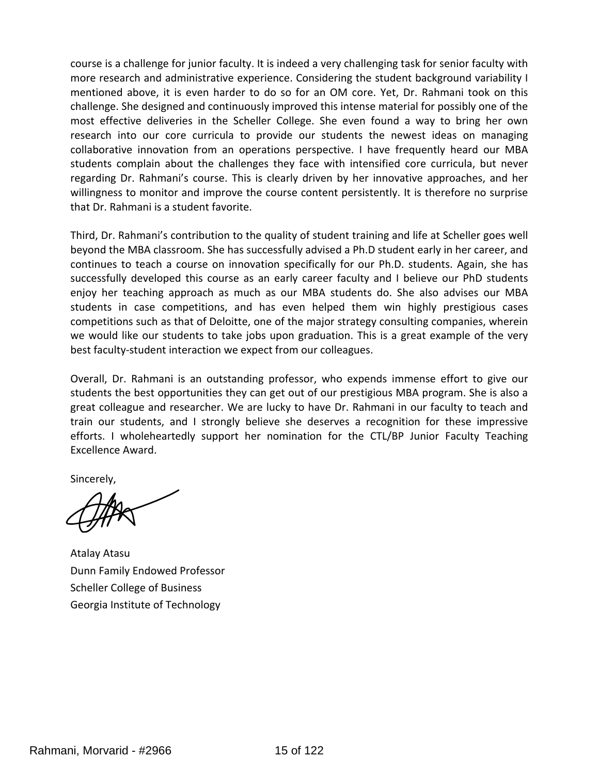course is a challenge for junior faculty. It is indeed a very challenging task for senior faculty with more research and administrative experience. Considering the student background variability I mentioned above, it is even harder to do so for an OM core. Yet, Dr. Rahmani took on this challenge. She designed and continuously improved this intense material for possibly one of the most effective deliveries in the Scheller College. She even found a way to bring her own research into our core curricula to provide our students the newest ideas on managing collaborative innovation from an operations perspective. I have frequently heard our MBA students complain about the challenges they face with intensified core curricula, but never regarding Dr. Rahmani's course. This is clearly driven by her innovative approaches, and her willingness to monitor and improve the course content persistently. It is therefore no surprise that Dr. Rahmani is a student favorite.

Third, Dr. Rahmani's contribution to the quality of student training and life at Scheller goes well beyond the MBA classroom. She has successfully advised a Ph.D student early in her career, and continues to teach a course on innovation specifically for our Ph.D. students. Again, she has successfully developed this course as an early career faculty and I believe our PhD students enjoy her teaching approach as much as our MBA students do. She also advises our MBA students in case competitions, and has even helped them win highly prestigious cases competitions such as that of Deloitte, one of the major strategy consulting companies, wherein we would like our students to take jobs upon graduation. This is a great example of the very best faculty-student interaction we expect from our colleagues.

Overall, Dr. Rahmani is an outstanding professor, who expends immense effort to give our students the best opportunities they can get out of our prestigious MBA program. She is also a great colleague and researcher. We are lucky to have Dr. Rahmani in our faculty to teach and train our students, and I strongly believe she deserves a recognition for these impressive efforts. I wholeheartedly support her nomination for the CTL/BP Junior Faculty Teaching Excellence Award.

Sincerely,

Atalay Atasu Dunn Family Endowed Professor Scheller College of Business Georgia Institute of Technology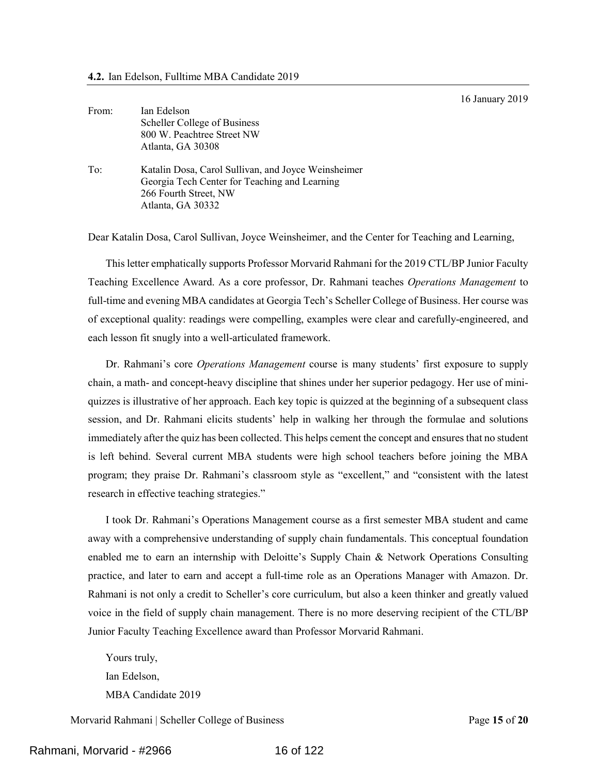16 January 2019

<span id="page-15-0"></span>

| From: | Ian Edelson                                         |
|-------|-----------------------------------------------------|
|       | Scheller College of Business                        |
|       | 800 W. Peachtree Street NW                          |
|       | Atlanta, GA 30308                                   |
| To:   | Katalin Dosa, Carol Sullivan, and Joyce Weinsheimer |
|       | Georgia Tech Center for Teaching and Learning       |
|       | 266 Fourth Street, NW                               |
|       | Atlanta, GA 30332                                   |

Dear Katalin Dosa, Carol Sullivan, Joyce Weinsheimer, and the Center for Teaching and Learning,

This letter emphatically supports Professor Morvarid Rahmani for the 2019 CTL/BP Junior Faculty Teaching Excellence Award. As a core professor, Dr. Rahmani teaches *Operations Management* to full-time and evening MBA candidates at Georgia Tech's Scheller College of Business. Her course was of exceptional quality: readings were compelling, examples were clear and carefully-engineered, and each lesson fit snugly into a well-articulated framework.

Dr. Rahmani's core *Operations Management* course is many students' first exposure to supply chain, a math- and concept-heavy discipline that shines under her superior pedagogy. Her use of miniquizzes is illustrative of her approach. Each key topic is quizzed at the beginning of a subsequent class session, and Dr. Rahmani elicits students' help in walking her through the formulae and solutions immediately after the quiz has been collected. This helps cement the concept and ensures that no student is left behind. Several current MBA students were high school teachers before joining the MBA program; they praise Dr. Rahmani's classroom style as "excellent," and "consistent with the latest research in effective teaching strategies."

I took Dr. Rahmani's Operations Management course as a first semester MBA student and came away with a comprehensive understanding of supply chain fundamentals. This conceptual foundation enabled me to earn an internship with Deloitte's Supply Chain & Network Operations Consulting practice, and later to earn and accept a full-time role as an Operations Manager with Amazon. Dr. Rahmani is not only a credit to Scheller's core curriculum, but also a keen thinker and greatly valued voice in the field of supply chain management. There is no more deserving recipient of the CTL/BP Junior Faculty Teaching Excellence award than Professor Morvarid Rahmani.

Yours truly, Ian Edelson, MBA Candidate 2019

Morvarid Rahmani | Scheller College of Business Page **15** of **20**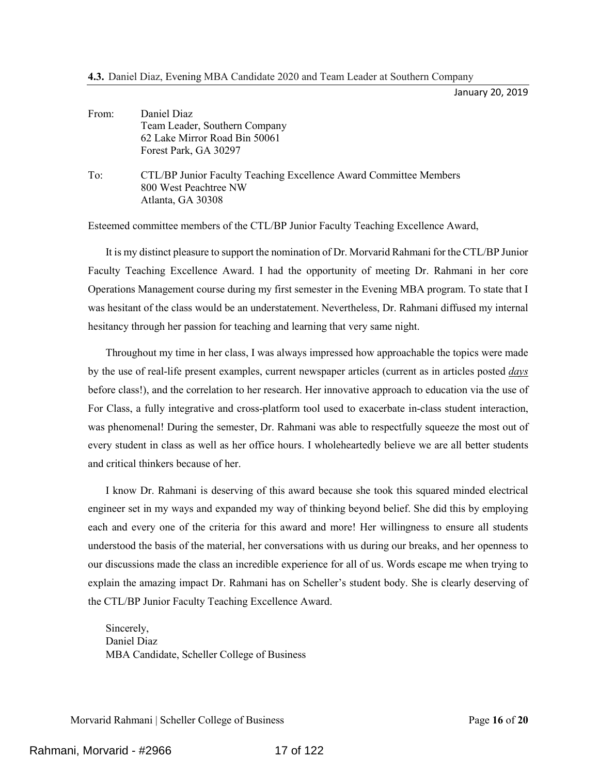January 20, 2019

<span id="page-16-0"></span>

| From: | Daniel Diaz                                                       |
|-------|-------------------------------------------------------------------|
|       | Team Leader, Southern Company                                     |
|       | 62 Lake Mirror Road Bin 50061                                     |
|       | Forest Park, GA 30297                                             |
| To:   | CTL/BP Junior Faculty Teaching Excellence Award Committee Members |
|       | 800 West Peachtree NW                                             |
|       | Atlanta, GA 30308                                                 |

Esteemed committee members of the CTL/BP Junior Faculty Teaching Excellence Award,

It is my distinct pleasure to support the nomination of Dr. Morvarid Rahmani for the CTL/BP Junior Faculty Teaching Excellence Award. I had the opportunity of meeting Dr. Rahmani in her core Operations Management course during my first semester in the Evening MBA program. To state that I was hesitant of the class would be an understatement. Nevertheless, Dr. Rahmani diffused my internal hesitancy through her passion for teaching and learning that very same night.

Throughout my time in her class, I was always impressed how approachable the topics were made by the use of real-life present examples, current newspaper articles (current as in articles posted *days* before class!), and the correlation to her research. Her innovative approach to education via the use of For Class, a fully integrative and cross-platform tool used to exacerbate in-class student interaction, was phenomenal! During the semester, Dr. Rahmani was able to respectfully squeeze the most out of every student in class as well as her office hours. I wholeheartedly believe we are all better students and critical thinkers because of her.

I know Dr. Rahmani is deserving of this award because she took this squared minded electrical engineer set in my ways and expanded my way of thinking beyond belief. She did this by employing each and every one of the criteria for this award and more! Her willingness to ensure all students understood the basis of the material, her conversations with us during our breaks, and her openness to our discussions made the class an incredible experience for all of us. Words escape me when trying to explain the amazing impact Dr. Rahmani has on Scheller's student body. She is clearly deserving of the CTL/BP Junior Faculty Teaching Excellence Award.

Sincerely, Daniel Diaz MBA Candidate, Scheller College of Business

Morvarid Rahmani | Scheller College of Business Page **16** of **20**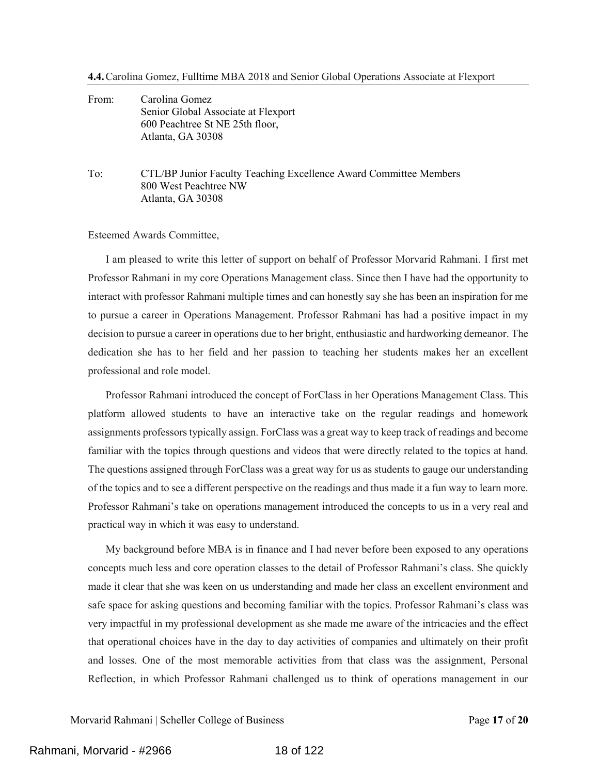<span id="page-17-0"></span>From: Carolina Gomez Senior Global Associate at Flexport 600 Peachtree St NE 25th floor, Atlanta, GA 30308

To: CTL/BP Junior Faculty Teaching Excellence Award Committee Members 800 West Peachtree NW Atlanta, GA 30308

Esteemed Awards Committee,

I am pleased to write this letter of support on behalf of Professor Morvarid Rahmani. I first met Professor Rahmani in my core Operations Management class. Since then I have had the opportunity to interact with professor Rahmani multiple times and can honestly say she has been an inspiration for me to pursue a career in Operations Management. Professor Rahmani has had a positive impact in my decision to pursue a career in operations due to her bright, enthusiastic and hardworking demeanor. The dedication she has to her field and her passion to teaching her students makes her an excellent professional and role model.

Professor Rahmani introduced the concept of ForClass in her Operations Management Class. This platform allowed students to have an interactive take on the regular readings and homework assignments professors typically assign. ForClass was a great way to keep track of readings and become familiar with the topics through questions and videos that were directly related to the topics at hand. The questions assigned through ForClass was a great way for us as students to gauge our understanding of the topics and to see a different perspective on the readings and thus made it a fun way to learn more. Professor Rahmani's take on operations management introduced the concepts to us in a very real and practical way in which it was easy to understand.

My background before MBA is in finance and I had never before been exposed to any operations concepts much less and core operation classes to the detail of Professor Rahmani's class. She quickly made it clear that she was keen on us understanding and made her class an excellent environment and safe space for asking questions and becoming familiar with the topics. Professor Rahmani's class was very impactful in my professional development as she made me aware of the intricacies and the effect that operational choices have in the day to day activities of companies and ultimately on their profit and losses. One of the most memorable activities from that class was the assignment, Personal Reflection, in which Professor Rahmani challenged us to think of operations management in our

Morvarid Rahmani | Scheller College of Business Page **17** of **20**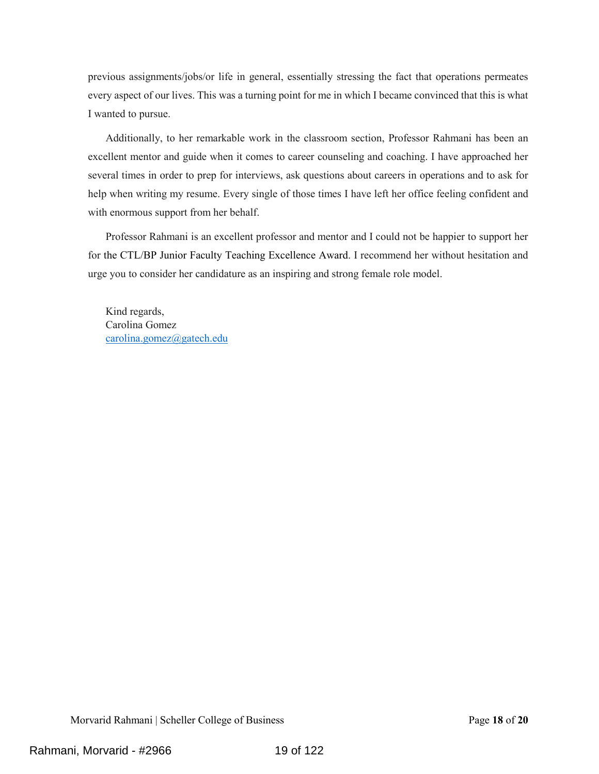previous assignments/jobs/or life in general, essentially stressing the fact that operations permeates every aspect of our lives. This was a turning point for me in which I became convinced that this is what I wanted to pursue.

Additionally, to her remarkable work in the classroom section, Professor Rahmani has been an excellent mentor and guide when it comes to career counseling and coaching. I have approached her several times in order to prep for interviews, ask questions about careers in operations and to ask for help when writing my resume. Every single of those times I have left her office feeling confident and with enormous support from her behalf.

Professor Rahmani is an excellent professor and mentor and I could not be happier to support her for the CTL/BP Junior Faculty Teaching Excellence Award. I recommend her without hesitation and urge you to consider her candidature as an inspiring and strong female role model.

Kind regards, Carolina Gomez [carolina.gomez@gatech.edu](mailto:carolina.gomez@gatech.edu)

Morvarid Rahmani | Scheller College of Business Page **18** of **20**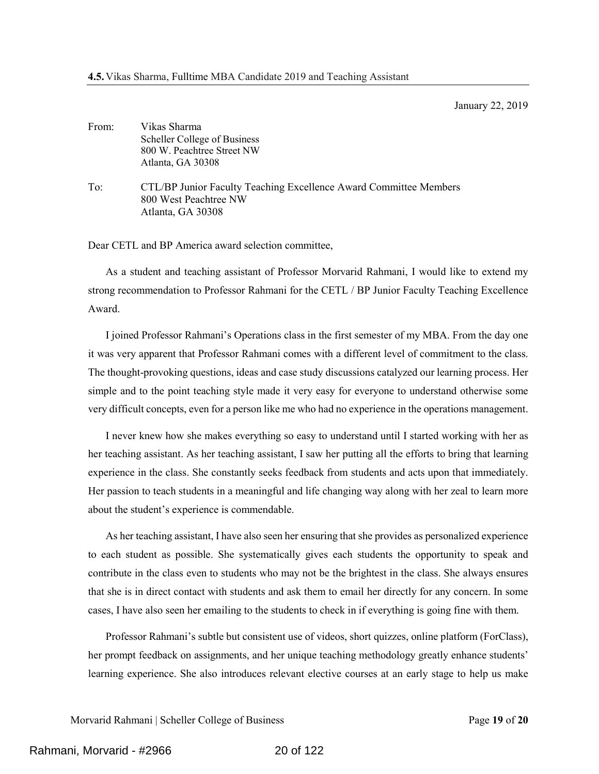January 22, 2019

<span id="page-19-0"></span>

| From: | Vikas Sharma                                                      |
|-------|-------------------------------------------------------------------|
|       | Scheller College of Business                                      |
|       | 800 W. Peachtree Street NW                                        |
|       | Atlanta, GA 30308                                                 |
| To:   | CTL/BP Junior Faculty Teaching Excellence Award Committee Members |
|       | 800 West Peachtree NW                                             |
|       | Atlanta, GA 30308                                                 |

Dear CETL and BP America award selection committee,

As a student and teaching assistant of Professor Morvarid Rahmani, I would like to extend my strong recommendation to Professor Rahmani for the CETL / BP Junior Faculty Teaching Excellence Award.

I joined Professor Rahmani's Operations class in the first semester of my MBA. From the day one it was very apparent that Professor Rahmani comes with a different level of commitment to the class. The thought-provoking questions, ideas and case study discussions catalyzed our learning process. Her simple and to the point teaching style made it very easy for everyone to understand otherwise some very difficult concepts, even for a person like me who had no experience in the operations management.

I never knew how she makes everything so easy to understand until I started working with her as her teaching assistant. As her teaching assistant, I saw her putting all the efforts to bring that learning experience in the class. She constantly seeks feedback from students and acts upon that immediately. Her passion to teach students in a meaningful and life changing way along with her zeal to learn more about the student's experience is commendable.

As her teaching assistant, I have also seen her ensuring that she provides as personalized experience to each student as possible. She systematically gives each students the opportunity to speak and contribute in the class even to students who may not be the brightest in the class. She always ensures that she is in direct contact with students and ask them to email her directly for any concern. In some cases, I have also seen her emailing to the students to check in if everything is going fine with them.

Professor Rahmani's subtle but consistent use of videos, short quizzes, online platform (ForClass), her prompt feedback on assignments, and her unique teaching methodology greatly enhance students' learning experience. She also introduces relevant elective courses at an early stage to help us make

Morvarid Rahmani | Scheller College of Business Page **19** of **20**